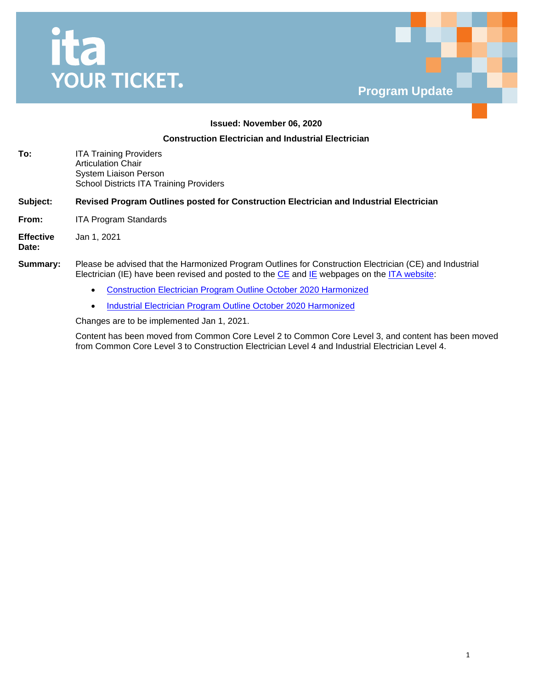



### **Issued: November 06, 2020**

## **Construction Electrician and Industrial Electrician**

| To: | <b>ITA Training Providers</b>                  |
|-----|------------------------------------------------|
|     | <b>Articulation Chair</b>                      |
|     | System Liaison Person                          |
|     | <b>School Districts ITA Training Providers</b> |

#### **Subject: Revised Program Outlines posted for Construction Electrician and Industrial Electrician**

**From:** ITA Program Standards

**Effective**  Jan 1, 2021

**Date:**

#### **Summary:** Please be advised that the Harmonized Program Outlines for Construction Electrician (CE) and Industrial Electrician (IE) have been revised and posted to the  $CE$  and  $IE$  webpages on the  $ITA$  website:

- [Construction Electrician Program Outline October 2020 Harmonized](https://www.itabc.ca/sites/default/files/docs/construction-electrician-program-outline-october-2020-harmonized.pdf)
- **Industrial Electrician Program Outline October 2020 Harmonized**

Changes are to be implemented Jan 1, 2021.

Content has been moved from Common Core Level 2 to Common Core Level 3, and content has been moved from Common Core Level 3 to Construction Electrician Level 4 and Industrial Electrician Level 4.